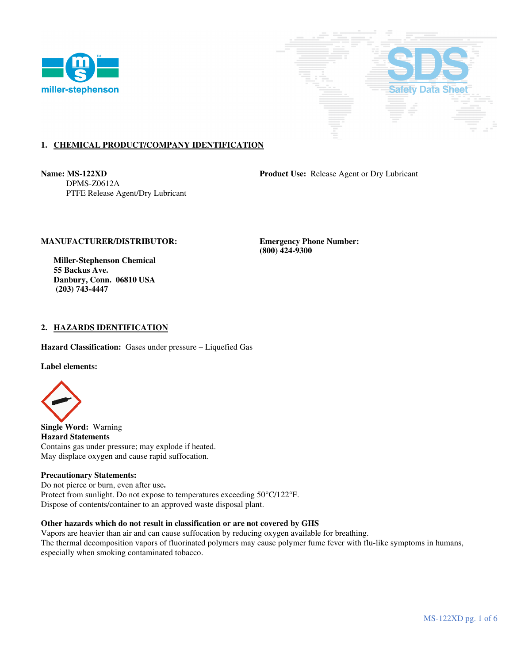



# **1. CHEMICAL PRODUCT/COMPANY IDENTIFICATION**

 DPMS-Z0612A PTFE Release Agent/Dry Lubricant

**Name: MS-122XD Product Use:** Release Agent or Dry Lubricant

# **MANUFACTURER/DISTRIBUTOR: Emergency Phone Number:**

 **Miller-Stephenson Chemical 55 Backus Ave. Danbury, Conn. 06810 USA (203) 743-4447** 

 **(800) 424-9300** 

### **2. HAZARDS IDENTIFICATION**

**Hazard Classification:** Gases under pressure – Liquefied Gas

**Label elements:** 



**Single Word:** Warning **Hazard Statements**  Contains gas under pressure; may explode if heated. May displace oxygen and cause rapid suffocation.

#### **Precautionary Statements:**

Do not pierce or burn, even after use**.**  Protect from sunlight. Do not expose to temperatures exceeding 50°C/122°F. Dispose of contents/container to an approved waste disposal plant.

### **Other hazards which do not result in classification or are not covered by GHS**

Vapors are heavier than air and can cause suffocation by reducing oxygen available for breathing. The thermal decomposition vapors of fluorinated polymers may cause polymer fume fever with flu-like symptoms in humans, especially when smoking contaminated tobacco.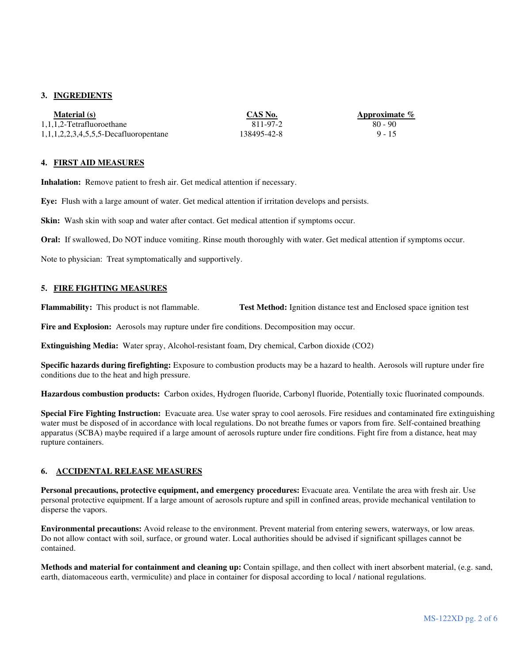# **3. INGREDIENTS**

| Material (s)                             | CAS No.     | Approximate % |
|------------------------------------------|-------------|---------------|
| 1,1,1,2-Tetrafluoroethane                | 811-97-2    | 80 - 90       |
| $1,1,1,2,2,3,4,5,5,5$ -Decafluoropentane | 138495-42-8 | $9 - 15$      |

### **4. FIRST AID MEASURES**

**Inhalation:** Remove patient to fresh air. Get medical attention if necessary.

**Eye:** Flush with a large amount of water. Get medical attention if irritation develops and persists.

**Skin:** Wash skin with soap and water after contact. Get medical attention if symptoms occur.

**Oral:** If swallowed, Do NOT induce vomiting. Rinse mouth thoroughly with water. Get medical attention if symptoms occur.

Note to physician: Treat symptomatically and supportively. Ī

### **5. FIRE FIGHTING MEASURES**

**Flammability:** This product is not flammable. **Test Method:** Ignition distance test and Enclosed space ignition test

**Fire and Explosion:** Aerosols may rupture under fire conditions. Decomposition may occur.

**Extinguishing Media:** Water spray, Alcohol-resistant foam, Dry chemical, Carbon dioxide (CO2)

**Specific hazards during firefighting:** Exposure to combustion products may be a hazard to health. Aerosols will rupture under fire conditions due to the heat and high pressure.

**Hazardous combustion products:** Carbon oxides, Hydrogen fluoride, Carbonyl fluoride, Potentially toxic fluorinated compounds.

**Special Fire Fighting Instruction:** Evacuate area. Use water spray to cool aerosols. Fire residues and contaminated fire extinguishing water must be disposed of in accordance with local regulations. Do not breathe fumes or vapors from fire. Self-contained breathing apparatus (SCBA) maybe required if a large amount of aerosols rupture under fire conditions. Fight fire from a distance, heat may rupture containers.

### **6. ACCIDENTAL RELEASE MEASURES**

**Personal precautions, protective equipment, and emergency procedures:** Evacuate area. Ventilate the area with fresh air. Use personal protective equipment. If a large amount of aerosols rupture and spill in confined areas, provide mechanical ventilation to disperse the vapors.

**Environmental precautions:** Avoid release to the environment. Prevent material from entering sewers, waterways, or low areas. Do not allow contact with soil, surface, or ground water. Local authorities should be advised if significant spillages cannot be contained.

**Methods and material for containment and cleaning up:** Contain spillage, and then collect with inert absorbent material, (e.g. sand, earth, diatomaceous earth, vermiculite) and place in container for disposal according to local / national regulations.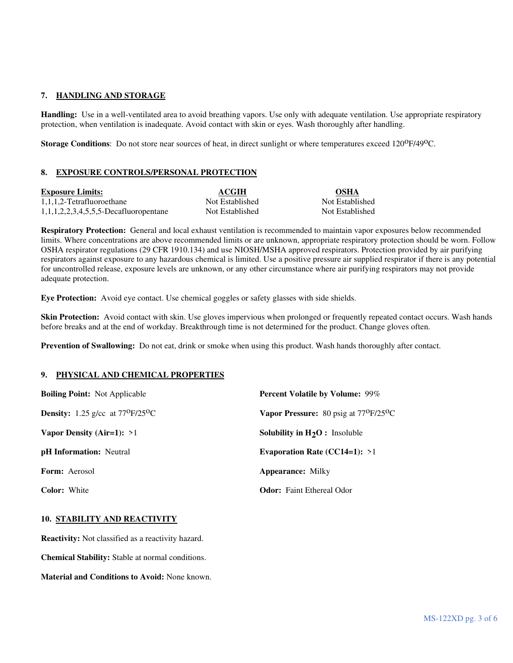# **7. HANDLING AND STORAGE**

**Handling:** Use in a well-ventilated area to avoid breathing vapors. Use only with adequate ventilation. Use appropriate respiratory protection, when ventilation is inadequate. Avoid contact with skin or eyes. Wash thoroughly after handling.

**Storage Conditions**: Do not store near sources of heat, in direct sunlight or where temperatures exceed 120<sup>o</sup>F/49<sup>o</sup>C.

# **8. EXPOSURE CONTROLS/PERSONAL PROTECTION**

| <b>Exposure Limits:</b>                  | <b>ACGIH</b>    | <b>OSHA</b>  |
|------------------------------------------|-----------------|--------------|
| 1,1,1,2-Tetrafluoroethane                | Not Established | Not Establis |
| $1,1,1,2,2,3,4,5,5,5$ -Decafluoropentane | Not Established | Not Establis |

**Respiratory Protection:** General and local exhaust ventilation is recommended to maintain vapor exposures below recommended limits. Where concentrations are above recommended limits or are unknown, appropriate respiratory protection should be worn. Follow OSHA respirator regulations (29 CFR 1910.134) and use NIOSH/MSHA approved respirators. Protection provided by air purifying respirators against exposure to any hazardous chemical is limited. Use a positive pressure air supplied respirator if there is any potential for uncontrolled release, exposure levels are unknown, or any other circumstance where air purifying respirators may not provide adequate protection.

Not Established Not Established

**Eye Protection:** Avoid eye contact. Use chemical goggles or safety glasses with side shields.

**Skin Protection:** Avoid contact with skin. Use gloves impervious when prolonged or frequently repeated contact occurs. Wash hands before breaks and at the end of workday. Breakthrough time is not determined for the product. Change gloves often.

**Prevention of Swallowing:** Do not eat, drink or smoke when using this product. Wash hands thoroughly after contact.

### **9. PHYSICAL AND CHEMICAL PROPERTIES**

| <b>Boiling Point:</b> Not Applicable                   | Percent Volatile by Volume: 99%                             |
|--------------------------------------------------------|-------------------------------------------------------------|
| <b>Density:</b> 1.25 g/cc at $77^{\circ}F/25^{\circ}C$ | <b>Vapor Pressure:</b> 80 psig at $77^{\circ}F/25^{\circ}C$ |
| Vapor Density (Air=1): $>1$                            | <b>Solubility in <math>H_2O</math>:</b> Insoluble           |
| <b>pH</b> Information: Neutral                         | Evaporation Rate (CC14=1): $>1$                             |
| <b>Form:</b> Aerosol                                   | <b>Appearance: Milky</b>                                    |
| <b>Color:</b> White                                    | <b>Odor:</b> Faint Ethereal Odor                            |

### **10. STABILITY AND REACTIVITY**

**Reactivity:** Not classified as a reactivity hazard.

**Chemical Stability:** Stable at normal conditions.

**Material and Conditions to Avoid:** None known.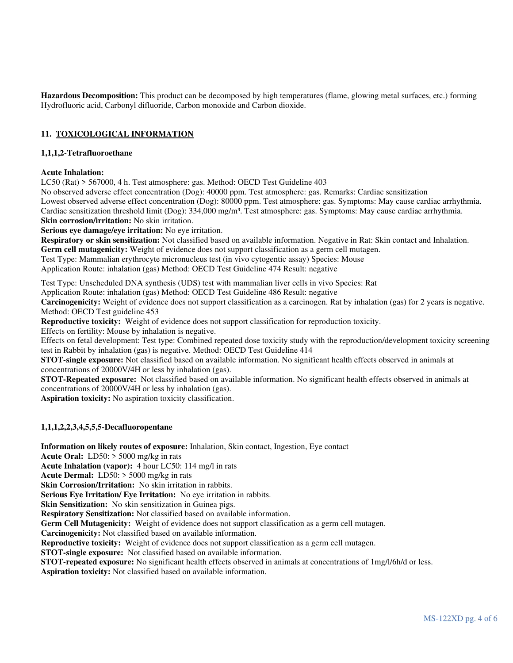**Hazardous Decomposition:** This product can be decomposed by high temperatures (flame, glowing metal surfaces, etc.) forming Hydrofluoric acid, Carbonyl difluoride, Carbon monoxide and Carbon dioxide.

# **11. TOXICOLOGICAL INFORMATION**

## **1,1,1,2-Tetrafluoroethane**

### **Acute Inhalation:**

LC50 (Rat) > 567000, 4 h. Test atmosphere: gas. Method: OECD Test Guideline 403

No observed adverse effect concentration (Dog): 40000 ppm. Test atmosphere: gas. Remarks: Cardiac sensitization

Lowest observed adverse effect concentration (Dog): 80000 ppm. Test atmosphere: gas. Symptoms: May cause cardiac arrhythmia. Cardiac sensitization threshold limit (Dog): 334,000 mg/m<sup>3</sup>. Test atmosphere: gas. Symptoms: May cause cardiac arrhythmia. **Skin corrosion/irritation:** No skin irritation.

**Serious eye damage/eye irritation:** No eye irritation.

**Respiratory or skin sensitization:** Not classified based on available information. Negative in Rat: Skin contact and Inhalation.

**Germ cell mutagenicity:** Weight of evidence does not support classification as a germ cell mutagen. Test Type: Mammalian erythrocyte micronucleus test (in vivo cytogentic assay) Species: Mouse

Application Route: inhalation (gas) Method: OECD Test Guideline 474 Result: negative

Test Type: Unscheduled DNA synthesis (UDS) test with mammalian liver cells in vivo Species: Rat

Application Route: inhalation (gas) Method: OECD Test Guideline 486 Result: negative

**Carcinogenicity:** Weight of evidence does not support classification as a carcinogen. Rat by inhalation (gas) for 2 years is negative. Method: OECD Test guideline 453

**Reproductive toxicity:** Weight of evidence does not support classification for reproduction toxicity.

Effects on fertility: Mouse by inhalation is negative.

Effects on fetal development: Test type: Combined repeated dose toxicity study with the reproduction/development toxicity screening test in Rabbit by inhalation (gas) is negative. Method: OECD Test Guideline 414

**STOT-single exposure:** Not classified based on available information. No significant health effects observed in animals at concentrations of 20000V/4H or less by inhalation (gas).

**STOT-Repeated exposure:** Not classified based on available information. No significant health effects observed in animals at concentrations of 20000V/4H or less by inhalation (gas).

**Aspiration toxicity:** No aspiration toxicity classification.

# **1,1,1,2,2,3,4,5,5,5-Decafluoropentane**

**Information on likely routes of exposure:** Inhalation, Skin contact, Ingestion, Eye contact

**Acute Oral:** LD50: > 5000 mg/kg in rats

**Acute Inhalation (vapor):** 4 hour LC50: 114 mg/l in rats

**Acute Dermal:** LD50: > 5000 mg/kg in rats

**Skin Corrosion/Irritation:** No skin irritation in rabbits.

**Serious Eye Irritation/ Eye Irritation:** No eye irritation in rabbits.

**Skin Sensitization:** No skin sensitization in Guinea pigs.

**Respiratory Sensitization:** Not classified based on available information.

**Germ Cell Mutagenicity:** Weight of evidence does not support classification as a germ cell mutagen.

**Carcinogenicity:** Not classified based on available information.

**Reproductive toxicity:** Weight of evidence does not support classification as a germ cell mutagen.

**STOT-single exposure:** Not classified based on available information.

**STOT-repeated exposure:** No significant health effects observed in animals at concentrations of 1mg/l/6h/d or less.

**Aspiration toxicity:** Not classified based on available information.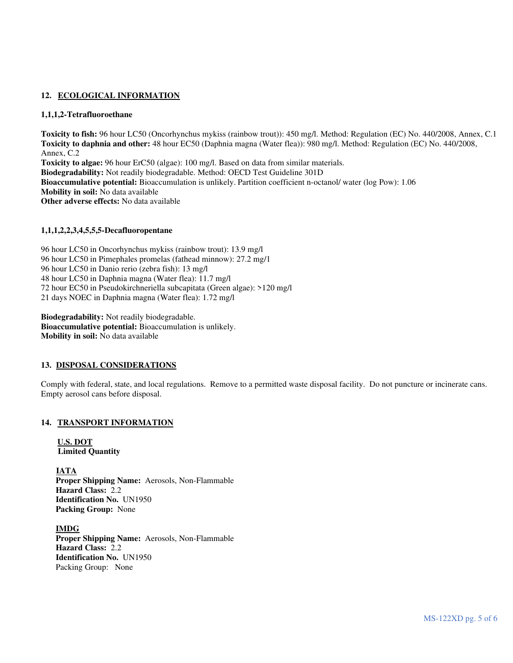# 12. ECOLOGICAL INFORMATION

# **1,1,1,2-Tetrafluoroethane**

**Toxicity to fish:** 96 hour LC50 (Oncorhynchus mykiss (rainbow trout)): 450 mg/l. Method: Regulation (EC) No. 440/2008, Annex, C.1 **Toxicity to daphnia and other:** 48 hour EC50 (Daphnia magna (Water flea)): 980 mg/l. Method: Regulation (EC) No. 440/2008, Annex, C.2 **Toxicity to algae:** 96 hour ErC50 (algae): 100 mg/l. Based on data from similar materials. **Biodegradability:** Not readily biodegradable. Method: OECD Test Guideline 301D **Bioaccumulative potential:** Bioaccumulation is unlikely. Partition coefficient n-octanol/ water (log Pow): 1.06 **Mobility in soil:** No data available **Other adverse effects:** No data available

# **1,1,1,2,2,3,4,5,5,5-Decafluoropentane**

96 hour LC50 in Oncorhynchus mykiss (rainbow trout): 13.9 mg/l 96 hour LC50 in Pimephales promelas (fathead minnow): 27.2 mg/1 96 hour LC50 in Danio rerio (zebra fish): 13 mg/l 48 hour LC50 in Daphnia magna (Water flea): 11.7 mg/l 72 hour EC50 in Pseudokirchneriella subcapitata (Green algae): >120 mg/l 21 days NOEC in Daphnia magna (Water flea): 1.72 mg/l

**Biodegradability:** Not readily biodegradable. **Bioaccumulative potential:** Bioaccumulation is unlikely. **Mobility in soil:** No data available

### **13. DISPOSAL CONSIDERATIONS**

Comply with federal, state, and local regulations. Remove to a permitted waste disposal facility. Do not puncture or incinerate cans. Empty aerosol cans before disposal.

# **14. TRANSPORT INFORMATION**

**U.S. DOT Limited Quantity** 

**IATA Proper Shipping Name:** Aerosols, Non-Flammable **Hazard Class:** 2.2 **Identification No.** UN1950 **Packing Group:** None

 **IMDG Proper Shipping Name:** Aerosols, Non-Flammable **Hazard Class:** 2.2 **Identification No.** UN1950 Packing Group: None